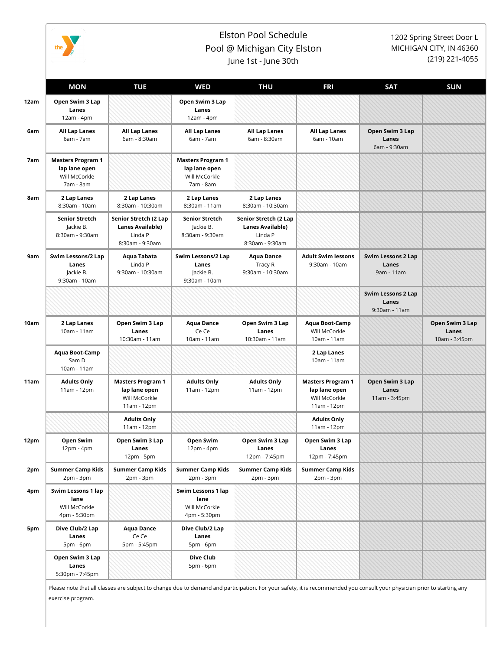

## Elston Pool Schedule Pool @ Michigan City Elston June 1st - June 30th

1202 Spring Street Door L MICHIGAN CITY, IN 46360 (219) 221-4055

|      | <b>MON</b>                                                              | <b>TUE</b>                                                                | <b>WED</b>                                                              | <b>THU</b>                                                                     | <b>FRI</b>                                                                | <b>SAT</b>                                          | <b>SUN</b>                                |
|------|-------------------------------------------------------------------------|---------------------------------------------------------------------------|-------------------------------------------------------------------------|--------------------------------------------------------------------------------|---------------------------------------------------------------------------|-----------------------------------------------------|-------------------------------------------|
| 12am | Open Swim 3 Lap<br>Lanes<br>$12am - 4pm$                                |                                                                           | Open Swim 3 Lap<br>Lanes<br>$12am - 4pm$                                |                                                                                |                                                                           |                                                     |                                           |
| 6am  | All Lap Lanes<br>6am - 7am                                              | All Lap Lanes<br>6am - 8:30am                                             | <b>All Lap Lanes</b><br>6am - 7am                                       | <b>All Lap Lanes</b><br>6am - 8:30am                                           | <b>All Lap Lanes</b><br>6am - 10am                                        | Open Swim 3 Lap<br>Lanes<br>6am - 9:30am            |                                           |
| 7am  | <b>Masters Program 1</b><br>lap lane open<br>Will McCorkle<br>7am - 8am |                                                                           | <b>Masters Program 1</b><br>lap lane open<br>Will McCorkle<br>7am - 8am |                                                                                |                                                                           |                                                     |                                           |
| 8am  | 2 Lap Lanes<br>8:30am - 10am                                            | 2 Lap Lanes<br>8:30am - 10:30am                                           | 2 Lap Lanes<br>8:30am - 11am                                            | 2 Lap Lanes<br>8:30am - 10:30am                                                |                                                                           |                                                     |                                           |
|      | <b>Senior Stretch</b><br>Jackie B.<br>8:30am - 9:30am                   | Senior Stretch (2 Lap<br>Lanes Available)<br>Linda P<br>8:30am - 9:30am   | <b>Senior Stretch</b><br>Jackie B.<br>8:30am - 9:30am                   | Senior Stretch (2 Lap<br><b>Lanes Available)</b><br>Linda P<br>8:30am - 9:30am |                                                                           |                                                     |                                           |
| 9am  | Swim Lessons/2 Lap<br>Lanes<br>Jackie B.<br>9:30am - 10am               | Aqua Tabata<br>Linda P<br>9:30am - 10:30am                                | Swim Lessons/2 Lap<br>Lanes<br>Jackie B.<br>9:30am - 10am               | <b>Aqua Dance</b><br>Tracy R<br>9:30am - 10:30am                               | <b>Adult Swim lessons</b><br>9:30am - 10am                                | <b>Swim Lessons 2 Lap</b><br>Lanes<br>9am - 11am    |                                           |
|      |                                                                         |                                                                           |                                                                         |                                                                                |                                                                           | <b>Swim Lessons 2 Lap</b><br>Lanes<br>9:30am - 11am |                                           |
| 10am | 2 Lap Lanes<br>10am - 11am                                              | Open Swim 3 Lap<br>Lanes<br>10:30am - 11am                                | <b>Aqua Dance</b><br>Ce Ce<br>10am - 11am                               | Open Swim 3 Lap<br>Lanes<br>10:30am - 11am                                     | <b>Aqua Boot-Camp</b><br>Will McCorkle<br>10am - 11am                     |                                                     | Open Swim 3 Lap<br>Lanes<br>10am - 3:45pm |
|      | Aqua Boot-Camp<br>Sam D<br>10am - 11am                                  |                                                                           |                                                                         |                                                                                | 2 Lap Lanes<br>10am - 11am                                                |                                                     |                                           |
| 11am | <b>Adults Only</b><br>$11am - 12pm$                                     | <b>Masters Program 1</b><br>lap lane open<br>Will McCorkle<br>11am - 12pm | <b>Adults Only</b><br>11am - 12pm                                       | <b>Adults Only</b><br>11am - 12pm                                              | <b>Masters Program 1</b><br>lap lane open<br>Will McCorkle<br>11am - 12pm | Open Swim 3 Lap<br>Lanes<br>11am - 3:45pm           |                                           |
|      |                                                                         | <b>Adults Only</b><br>11am - 12pm                                         |                                                                         |                                                                                | <b>Adults Only</b><br>11am - 12pm                                         |                                                     |                                           |
| 12pm | Open Swim<br>$12pm - 4pm$                                               | Open Swim 3 Lap<br>Lanes<br>12pm - 5pm                                    | Open Swim<br>12pm - 4pm                                                 | Open Swim 3 Lap<br>Lanes<br>12pm - 7:45pm                                      | Open Swim 3 Lap<br>Lanes<br>12pm - 7:45pm                                 |                                                     |                                           |
| 2pm  | <b>Summer Camp Kids</b><br>$2pm - 3pm$                                  | <b>Summer Camp Kids</b><br>$2pm - 3pm$                                    | <b>Summer Camp Kids</b><br>$2pm - 3pm$                                  | <b>Summer Camp Kids</b><br>$2pm - 3pm$                                         | <b>Summer Camp Kids</b><br>$2pm - 3pm$                                    |                                                     |                                           |
| 4pm  | Swim Lessons 1 lap<br>lane<br>Will McCorkle<br>4pm - 5:30pm             |                                                                           | Swim Lessons 1 lap<br>lane<br>Will McCorkle<br>4pm - 5:30pm             |                                                                                |                                                                           |                                                     |                                           |
| 5pm  | Dive Club/2 Lap<br>Lanes<br>5pm - 6pm                                   | <b>Aqua Dance</b><br>Ce Ce<br>5pm - 5:45pm                                | Dive Club/2 Lap<br>Lanes<br>5pm - 6pm                                   |                                                                                |                                                                           |                                                     |                                           |
|      | Open Swim 3 Lap<br>Lanes<br>5:30pm - 7:45pm                             |                                                                           | <b>Dive Club</b><br>5pm - 6pm                                           |                                                                                |                                                                           |                                                     |                                           |

Please note that all classes are subject to change due to demand and participation. For your safety, it is recommended you consult your physician prior to starting any exercise program.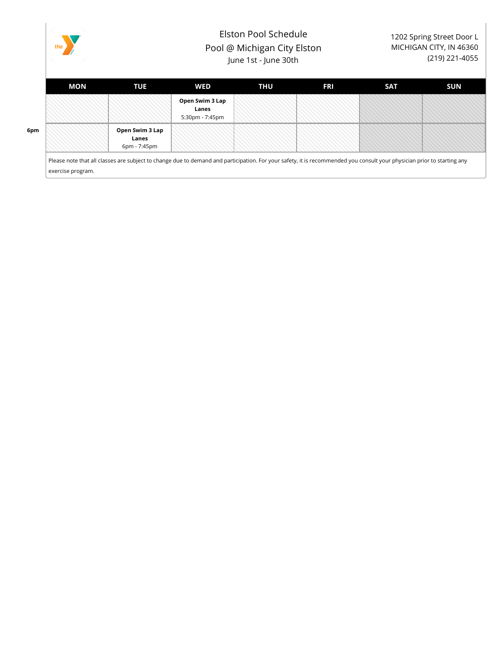

## Elston Pool Schedule Pool @ Michigan City Elston June 1st - June 30th

|     | MON | <b>TUE</b>                               | <b>WED</b>                                  | <b>THU</b> | <b>FRI</b> | <b>SAT</b> | <b>SUN</b> |
|-----|-----|------------------------------------------|---------------------------------------------|------------|------------|------------|------------|
|     |     |                                          | Open Swim 3 Lap<br>Lanes<br>5:30pm - 7:45pm |            |            |            |            |
| 6pm |     | Open Swim 3 Lap<br>Lanes<br>6pm - 7:45pm |                                             |            |            |            |            |

Please note that all classes are subject to change due to demand and participation. For your safety, it is recommended you consult your physician prior to starting any exercise program.